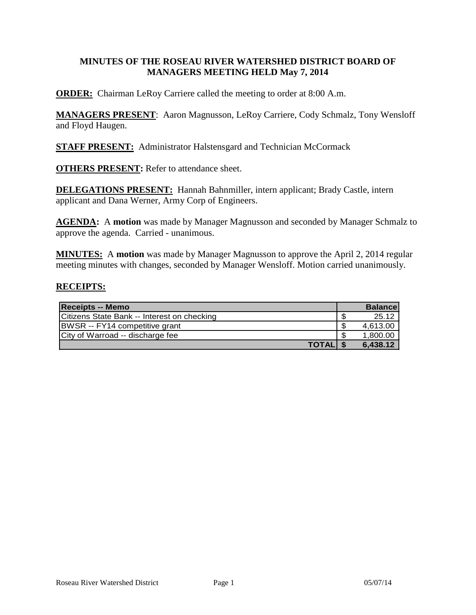#### **MINUTES OF THE ROSEAU RIVER WATERSHED DISTRICT BOARD OF MANAGERS MEETING HELD May 7, 2014**

**ORDER:** Chairman LeRoy Carriere called the meeting to order at 8:00 A.m.

**MANAGERS PRESENT**: Aaron Magnusson, LeRoy Carriere, Cody Schmalz, Tony Wensloff and Floyd Haugen.

**STAFF PRESENT:** Administrator Halstensgard and Technician McCormack

**OTHERS PRESENT:** Refer to attendance sheet.

**DELEGATIONS PRESENT:** Hannah Bahnmiller, intern applicant; Brady Castle, intern applicant and Dana Werner, Army Corp of Engineers.

**AGENDA:** A **motion** was made by Manager Magnusson and seconded by Manager Schmalz to approve the agenda. Carried - unanimous.

**MINUTES:** A **motion** was made by Manager Magnusson to approve the April 2, 2014 regular meeting minutes with changes, seconded by Manager Wensloff. Motion carried unanimously.

#### **RECEIPTS:**

| <b>Receipts -- Memo</b>                     | <b>Balance</b> |
|---------------------------------------------|----------------|
| Citizens State Bank -- Interest on checking | 25.12          |
| BWSR -- FY14 competitive grant              | 4.613.00       |
| City of Warroad -- discharge fee            | 1,800.00       |
| <b>TOTALIS</b>                              | 6,438.12       |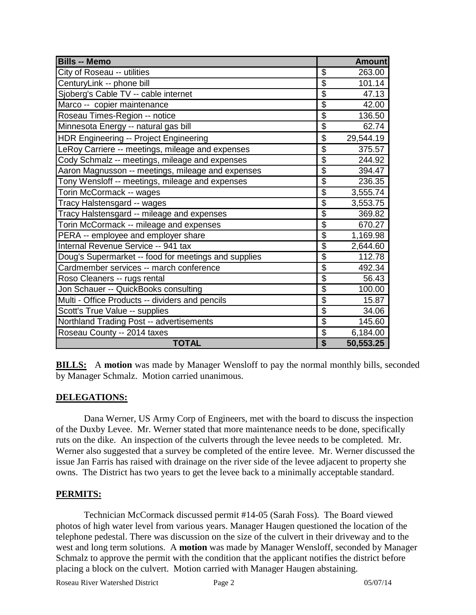| <b>Bills -- Memo</b>                                 |                           | <b>Amount</b> |
|------------------------------------------------------|---------------------------|---------------|
| City of Roseau -- utilities                          | \$                        | 263.00        |
| CenturyLink -- phone bill                            | $\overline{\$}$           | 101.14        |
| Sjoberg's Cable TV -- cable internet                 | $\overline{\$}$           | 47.13         |
| Marco -- copier maintenance                          | $\overline{\$}$           | 42.00         |
| Roseau Times-Region -- notice                        | $\overline{\$}$           | 136.50        |
| Minnesota Energy -- natural gas bill                 | $\overline{\$}$           | 62.74         |
| <b>HDR Engineering -- Project Engineering</b>        | \$                        | 29,544.19     |
| LeRoy Carriere -- meetings, mileage and expenses     | $\overline{\$}$           | 375.57        |
| Cody Schmalz -- meetings, mileage and expenses       | $\overline{\$}$           | 244.92        |
| Aaron Magnusson -- meetings, mileage and expenses    | $\overline{\$}$           | 394.47        |
| Tony Wensloff -- meetings, mileage and expenses      | $\overline{\$}$           | 236.35        |
| Torin McCormack -- wages                             | $\overline{\$}$           | 3,555.74      |
| Tracy Halstensgard -- wages                          | $\overline{\mathfrak{s}}$ | 3,553.75      |
| Tracy Halstensgard -- mileage and expenses           | $\overline{\mathfrak{s}}$ | 369.82        |
| Torin McCormack -- mileage and expenses              | $\overline{\$}$           | 670.27        |
| PERA -- employee and employer share                  | $\overline{\mathbf{S}}$   | 1,169.98      |
| Internal Revenue Service -- 941 tax                  | $\overline{\mathcal{G}}$  | 2,644.60      |
| Doug's Supermarket -- food for meetings and supplies | $\overline{\mathbf{S}}$   | 112.78        |
| Cardmember services -- march conference              | $\overline{\mathbb{S}}$   | 492.34        |
| Roso Cleaners -- rugs rental                         | \$                        | 56.43         |
| Jon Schauer -- QuickBooks consulting                 | \$                        | 100.00        |
| Multi - Office Products -- dividers and pencils      | \$                        | 15.87         |
| Scott's True Value -- supplies                       | $\overline{\$}$           | 34.06         |
| Northland Trading Post -- advertisements             | $\overline{\mathbf{S}}$   | 145.60        |
| Roseau County -- 2014 taxes                          | \$                        | 6,184.00      |
| <b>TOTAL</b>                                         | $\overline{\mathbf{S}}$   | 50,553.25     |

**BILLS:** A motion was made by Manager Wensloff to pay the normal monthly bills, seconded by Manager Schmalz. Motion carried unanimous.

### **DELEGATIONS:**

Dana Werner, US Army Corp of Engineers, met with the board to discuss the inspection of the Duxby Levee. Mr. Werner stated that more maintenance needs to be done, specifically ruts on the dike. An inspection of the culverts through the levee needs to be completed. Mr. Werner also suggested that a survey be completed of the entire levee. Mr. Werner discussed the issue Jan Farris has raised with drainage on the river side of the levee adjacent to property she owns. The District has two years to get the levee back to a minimally acceptable standard.

#### **PERMITS:**

Technician McCormack discussed permit #14-05 (Sarah Foss). The Board viewed photos of high water level from various years. Manager Haugen questioned the location of the telephone pedestal. There was discussion on the size of the culvert in their driveway and to the west and long term solutions. A **motion** was made by Manager Wensloff, seconded by Manager Schmalz to approve the permit with the condition that the applicant notifies the district before placing a block on the culvert. Motion carried with Manager Haugen abstaining.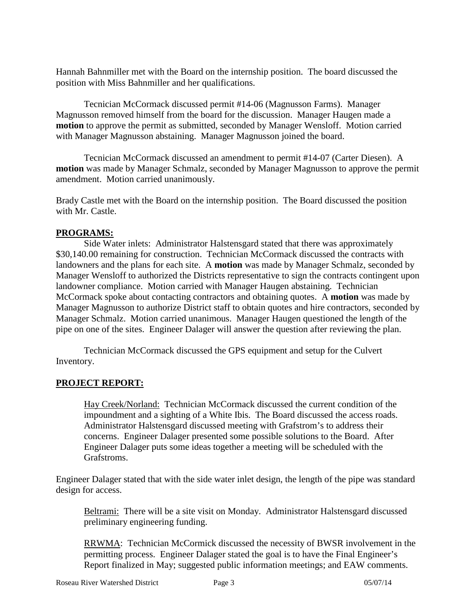Hannah Bahnmiller met with the Board on the internship position. The board discussed the position with Miss Bahnmiller and her qualifications.

Tecnician McCormack discussed permit #14-06 (Magnusson Farms). Manager Magnusson removed himself from the board for the discussion. Manager Haugen made a **motion** to approve the permit as submitted, seconded by Manager Wensloff. Motion carried with Manager Magnusson abstaining. Manager Magnusson joined the board.

Tecnician McCormack discussed an amendment to permit #14-07 (Carter Diesen). A **motion** was made by Manager Schmalz, seconded by Manager Magnusson to approve the permit amendment. Motion carried unanimously.

Brady Castle met with the Board on the internship position. The Board discussed the position with Mr. Castle.

### **PROGRAMS:**

Side Water inlets: Administrator Halstensgard stated that there was approximately \$30,140.00 remaining for construction. Technician McCormack discussed the contracts with landowners and the plans for each site. A **motion** was made by Manager Schmalz, seconded by Manager Wensloff to authorized the Districts representative to sign the contracts contingent upon landowner compliance. Motion carried with Manager Haugen abstaining. Technician McCormack spoke about contacting contractors and obtaining quotes. A **motion** was made by Manager Magnusson to authorize District staff to obtain quotes and hire contractors, seconded by Manager Schmalz. Motion carried unanimous. Manager Haugen questioned the length of the pipe on one of the sites. Engineer Dalager will answer the question after reviewing the plan.

Technician McCormack discussed the GPS equipment and setup for the Culvert Inventory.

#### **PROJECT REPORT:**

Hay Creek/Norland: Technician McCormack discussed the current condition of the impoundment and a sighting of a White Ibis. The Board discussed the access roads. Administrator Halstensgard discussed meeting with Grafstrom's to address their concerns. Engineer Dalager presented some possible solutions to the Board. After Engineer Dalager puts some ideas together a meeting will be scheduled with the Grafstroms.

Engineer Dalager stated that with the side water inlet design, the length of the pipe was standard design for access.

Beltrami: There will be a site visit on Monday. Administrator Halstensgard discussed preliminary engineering funding.

RRWMA: Technician McCormick discussed the necessity of BWSR involvement in the permitting process. Engineer Dalager stated the goal is to have the Final Engineer's Report finalized in May; suggested public information meetings; and EAW comments.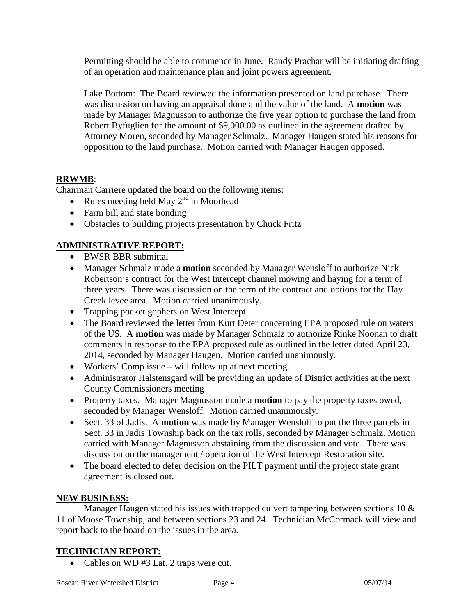Permitting should be able to commence in June. Randy Prachar will be initiating drafting of an operation and maintenance plan and joint powers agreement.

Lake Bottom: The Board reviewed the information presented on land purchase. There was discussion on having an appraisal done and the value of the land. A **motion** was made by Manager Magnusson to authorize the five year option to purchase the land from Robert Byfuglien for the amount of \$9,000.00 as outlined in the agreement drafted by Attorney Moren, seconded by Manager Schmalz. Manager Haugen stated his reasons for opposition to the land purchase. Motion carried with Manager Haugen opposed.

## **RRWMB**:

Chairman Carriere updated the board on the following items:

- Rules meeting held May  $2<sup>nd</sup>$  in Moorhead
- Farm bill and state bonding
- Obstacles to building projects presentation by Chuck Fritz

# **ADMINISTRATIVE REPORT:**

- BWSR BBR submittal
- Manager Schmalz made a **motion** seconded by Manager Wensloff to authorize Nick Robertson's contract for the West Intercept channel mowing and haying for a term of three years. There was discussion on the term of the contract and options for the Hay Creek levee area. Motion carried unanimously.
- Trapping pocket gophers on West Intercept.
- The Board reviewed the letter from Kurt Deter concerning EPA proposed rule on waters of the US. A **motion** was made by Manager Schmalz to authorize Rinke Noonan to draft comments in response to the EPA proposed rule as outlined in the letter dated April 23, 2014, seconded by Manager Haugen. Motion carried unanimously.
- Workers' Comp issue will follow up at next meeting.
- Administrator Halstensgard will be providing an update of District activities at the next County Commissioners meeting
- Property taxes. Manager Magnusson made a **motion** to pay the property taxes owed, seconded by Manager Wensloff. Motion carried unanimously.
- Sect. 33 of Jadis. A **motion** was made by Manager Wensloff to put the three parcels in Sect. 33 in Jadis Township back on the tax rolls, seconded by Manager Schmalz. Motion carried with Manager Magnusson abstaining from the discussion and vote. There was discussion on the management / operation of the West Intercept Restoration site.
- The board elected to defer decision on the PILT payment until the project state grant agreement is closed out.

## **NEW BUSINESS:**

Manager Haugen stated his issues with trapped culvert tampering between sections 10 & 11 of Moose Township, and between sections 23 and 24. Technician McCormack will view and report back to the board on the issues in the area.

## **TECHNICIAN REPORT:**

• Cables on WD #3 Lat. 2 traps were cut.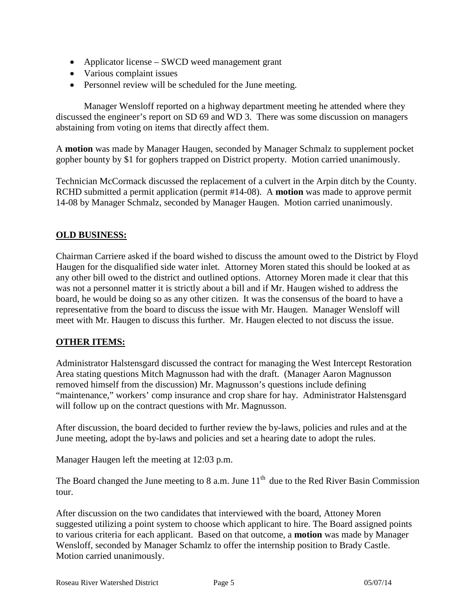- Applicator license SWCD weed management grant
- Various complaint issues
- Personnel review will be scheduled for the June meeting.

Manager Wensloff reported on a highway department meeting he attended where they discussed the engineer's report on SD 69 and WD 3. There was some discussion on managers abstaining from voting on items that directly affect them.

A **motion** was made by Manager Haugen, seconded by Manager Schmalz to supplement pocket gopher bounty by \$1 for gophers trapped on District property. Motion carried unanimously.

Technician McCormack discussed the replacement of a culvert in the Arpin ditch by the County. RCHD submitted a permit application (permit #14-08). A **motion** was made to approve permit 14-08 by Manager Schmalz, seconded by Manager Haugen. Motion carried unanimously.

### **OLD BUSINESS:**

Chairman Carriere asked if the board wished to discuss the amount owed to the District by Floyd Haugen for the disqualified side water inlet. Attorney Moren stated this should be looked at as any other bill owed to the district and outlined options. Attorney Moren made it clear that this was not a personnel matter it is strictly about a bill and if Mr. Haugen wished to address the board, he would be doing so as any other citizen. It was the consensus of the board to have a representative from the board to discuss the issue with Mr. Haugen. Manager Wensloff will meet with Mr. Haugen to discuss this further. Mr. Haugen elected to not discuss the issue.

### **OTHER ITEMS:**

Administrator Halstensgard discussed the contract for managing the West Intercept Restoration Area stating questions Mitch Magnusson had with the draft. (Manager Aaron Magnusson removed himself from the discussion) Mr. Magnusson's questions include defining "maintenance," workers' comp insurance and crop share for hay. Administrator Halstensgard will follow up on the contract questions with Mr. Magnusson.

After discussion, the board decided to further review the by-laws, policies and rules and at the June meeting, adopt the by-laws and policies and set a hearing date to adopt the rules.

Manager Haugen left the meeting at 12:03 p.m.

The Board changed the June meeting to 8 a.m. June  $11<sup>th</sup>$  due to the Red River Basin Commission tour.

After discussion on the two candidates that interviewed with the board, Attoney Moren suggested utilizing a point system to choose which applicant to hire. The Board assigned points to various criteria for each applicant. Based on that outcome, a **motion** was made by Manager Wensloff, seconded by Manager Schamlz to offer the internship position to Brady Castle. Motion carried unanimously.